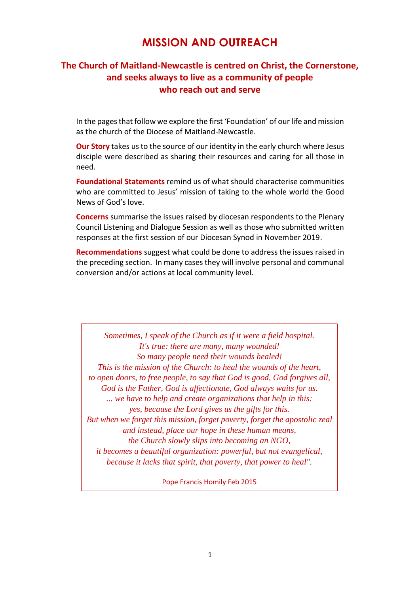# **MISSION AND OUTREACH**

# **The Church of Maitland-Newcastle is centred on Christ, the Cornerstone, and seeks always to live as a community of people who reach out and serve**

In the pages that follow we explore the first 'Foundation' of our life and mission as the church of the Diocese of Maitland-Newcastle.

**Our Story** takes us to the source of our identity in the early church where Jesus disciple were described as sharing their resources and caring for all those in need.

**Foundational Statements** remind us of what should characterise communities who are committed to Jesus' mission of taking to the whole world the Good News of God's love.

**Concerns** summarise the issues raised by diocesan respondents to the Plenary Council Listening and Dialogue Session as well as those who submitted written responses at the first session of our Diocesan Synod in November 2019.

**Recommendations** suggest what could be done to address the issues raised in the preceding section. In many cases they will involve personal and communal conversion and/or actions at local community level.

*Sometimes, I speak of the Church as if it were a field hospital. It's true: there are many, many wounded! So many people need their wounds healed! This is the mission of the Church: to heal the wounds of the heart, to open doors, to free people, to say that God is good, God forgives all, God is the Father, God is affectionate, God always waits for us. ... we have to help and create organizations that help in this: yes, because the Lord gives us the gifts for this. But when we forget this mission, forget poverty, forget the apostolic zeal and instead, place our hope in these human means, the Church slowly slips into becoming an NGO, it becomes a beautiful organization: powerful, but not evangelical, because it lacks that spirit, that poverty, that power to heal".*

Pope Francis Homily Feb 2015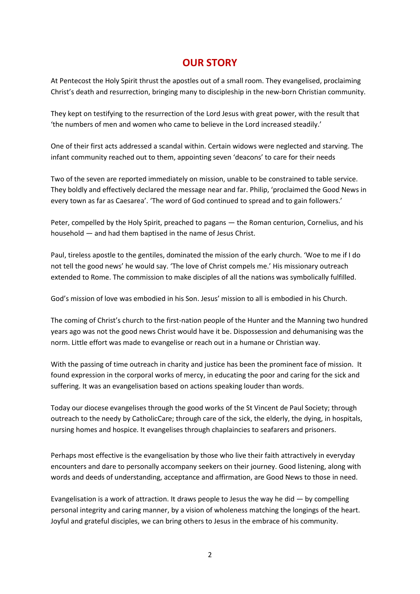# **OUR STORY**

At Pentecost the Holy Spirit thrust the apostles out of a small room. They evangelised, proclaiming Christ's death and resurrection, bringing many to discipleship in the new-born Christian community.

They kept on testifying to the resurrection of the Lord Jesus with great power, with the result that 'the numbers of men and women who came to believe in the Lord increased steadily.'

One of their first acts addressed a scandal within. Certain widows were neglected and starving. The infant community reached out to them, appointing seven 'deacons' to care for their needs

Two of the seven are reported immediately on mission, unable to be constrained to table service. They boldly and effectively declared the message near and far. Philip, 'proclaimed the Good News in every town as far as Caesarea'. 'The word of God continued to spread and to gain followers.'

Peter, compelled by the Holy Spirit, preached to pagans — the Roman centurion, Cornelius, and his household — and had them baptised in the name of Jesus Christ.

Paul, tireless apostle to the gentiles, dominated the mission of the early church. 'Woe to me if I do not tell the good news' he would say. 'The love of Christ compels me.' His missionary outreach extended to Rome. The commission to make disciples of all the nations was symbolically fulfilled.

God's mission of love was embodied in his Son. Jesus' mission to all is embodied in his Church.

The coming of Christ's church to the first-nation people of the Hunter and the Manning two hundred years ago was not the good news Christ would have it be. Dispossession and dehumanising was the norm. Little effort was made to evangelise or reach out in a humane or Christian way.

With the passing of time outreach in charity and justice has been the prominent face of mission. It found expression in the corporal works of mercy, in educating the poor and caring for the sick and suffering. It was an evangelisation based on actions speaking louder than words.

Today our diocese evangelises through the good works of the St Vincent de Paul Society; through outreach to the needy by CatholicCare; through care of the sick, the elderly, the dying, in hospitals, nursing homes and hospice. It evangelises through chaplaincies to seafarers and prisoners.

Perhaps most effective is the evangelisation by those who live their faith attractively in everyday encounters and dare to personally accompany seekers on their journey. Good listening, along with words and deeds of understanding, acceptance and affirmation, are Good News to those in need.

Evangelisation is a work of attraction. It draws people to Jesus the way he did — by compelling personal integrity and caring manner, by a vision of wholeness matching the longings of the heart. Joyful and grateful disciples, we can bring others to Jesus in the embrace of his community.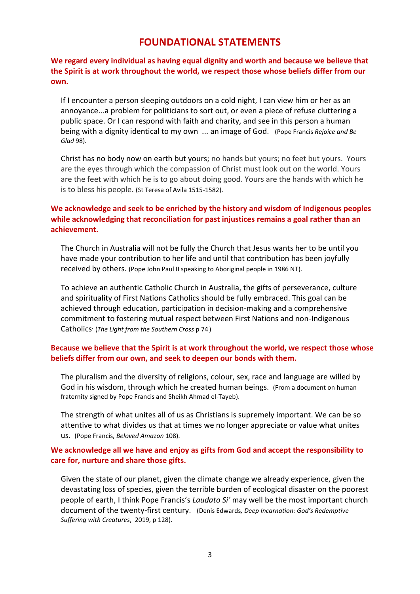# **FOUNDATIONAL STATEMENTS**

## **We regard every individual as having equal dignity and worth and because we believe that the Spirit is at work throughout the world, we respect those whose beliefs differ from our own.**

If I encounter a person sleeping outdoors on a cold night, I can view him or her as an annoyance...a problem for politicians to sort out, or even a piece of refuse cluttering a public space. Or I can respond with faith and charity, and see in this person a human being with a dignity identical to my own ... an image of God. (Pope Francis *Rejoice and Be Glad* 98).

Christ has no body now on earth but yours; no hands but yours; no feet but yours. Yours are the eyes through which the compassion of Christ must look out on the world. Yours are the feet with which he is to go about doing good. Yours are the hands with which he is to bless his people. (St Teresa of Avila 1515-1582).

### **We acknowledge and seek to be enriched by the history and wisdom of Indigenous peoples while acknowledging that reconciliation for past injustices remains a goal rather than an achievement.**

The Church in Australia will not be fully the Church that Jesus wants her to be until you have made your contribution to her life and until that contribution has been joyfully received by others. (Pope John Paul II speaking to Aboriginal people in 1986 NT).

To achieve an authentic Catholic Church in Australia, the gifts of perseverance, culture and spirituality of First Nations Catholics should be fully embraced. This goal can be achieved through education, participation in decision-making and a comprehensive commitment to fostering mutual respect between First Nations and non-Indigenous Catholics. (*The Light from the Southern Cross* p 74 )

#### **Because we believe that the Spirit is at work throughout the world, we respect those whose beliefs differ from our own, and seek to deepen our bonds with them.**

The pluralism and the diversity of religions, colour, sex, race and language are willed by God in his wisdom, through which he created human beings. (From a document on human fraternity signed by Pope Francis and Sheikh Ahmad el-Tayeb).

The strength of what unites all of us as Christians is supremely important. We can be so attentive to what divides us that at times we no longer appreciate or value what unites us. (Pope Francis, *Beloved Amazon* 108).

## **We acknowledge all we have and enjoy as gifts from God and accept the responsibility to care for, nurture and share those gifts.**

Given the state of our planet, given the climate change we already experience, given the devastating loss of species, given the terrible burden of ecological disaster on the poorest people of earth, I think Pope Francis's *Laudato Si'* may well be the most important church document of the twenty-first century. (Denis Edwards*, Deep Incarnation: God's Redemptive Suffering with Creatures*, 2019, p 128).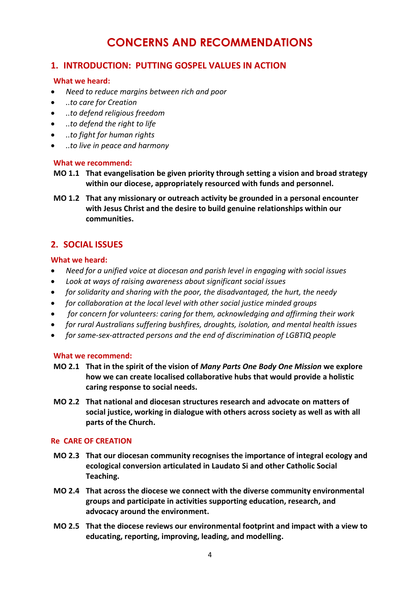# **CONCERNS AND RECOMMENDATIONS**

# **1. INTRODUCTION: PUTTING GOSPEL VALUES IN ACTION**

#### **What we heard:**

- *Need to reduce margins between rich and poor*
- *..to care for Creation*
- *..to defend religious freedom*
- *..to defend the right to life*
- *..to fight for human rights*
- *..to live in peace and harmony*

#### **What we recommend:**

- **MO 1.1 That evangelisation be given priority through setting a vision and broad strategy within our diocese, appropriately resourced with funds and personnel.**
- **MO 1.2 That any missionary or outreach activity be grounded in a personal encounter with Jesus Christ and the desire to build genuine relationships within our communities.**

# **2. SOCIAL ISSUES**

## **What we heard:**

- *Need for a unified voice at diocesan and parish level in engaging with social issues*
- *Look at ways of raising awareness about significant social issues*
- *for solidarity and sharing with the poor, the disadvantaged, the hurt, the needy*
- *for collaboration at the local level with other social justice minded groups*
- *for concern for volunteers: caring for them, acknowledging and affirming their work*
- *for rural Australians suffering bushfires, droughts, isolation, and mental health issues*
- *for same-sex-attracted persons and the end of discrimination of LGBTIQ people*

#### **What we recommend:**

- **MO 2.1 That in the spirit of the vision of** *Many Parts One Body One Mission* **we explore how we can create localised collaborative hubs that would provide a holistic caring response to social needs.**
- **MO 2.2 That national and diocesan structures research and advocate on matters of social justice, working in dialogue with others across society as well as with all parts of the Church.**

#### **Re CARE OF CREATION**

- **MO 2.3 That our diocesan community recognises the importance of integral ecology and ecological conversion articulated in Laudato Si and other Catholic Social Teaching.**
- **MO 2.4 That across the diocese we connect with the diverse community environmental groups and participate in activities supporting education, research, and advocacy around the environment.**
- **MO 2.5 That the diocese reviews our environmental footprint and impact with a view to educating, reporting, improving, leading, and modelling.**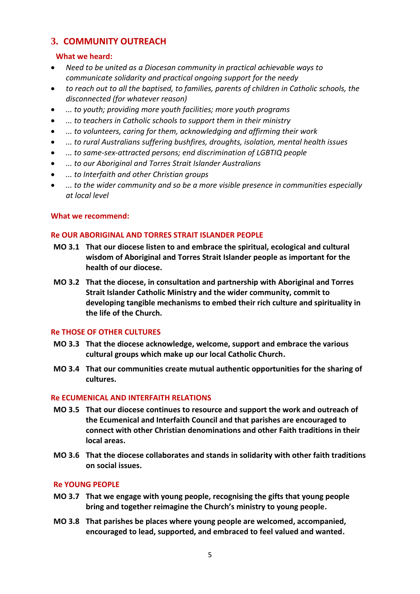# **3. COMMUNITY OUTREACH**

## **What we heard:**

- *Need to be united as a Diocesan community in practical achievable ways to communicate solidarity and practical ongoing support for the needy*
- *to reach out to all the baptised, to families, parents of children in Catholic schools, the disconnected (for whatever reason)*
- *... to youth; providing more youth facilities; more youth programs*
- *... to teachers in Catholic schools to support them in their ministry*
- *... to volunteers, caring for them, acknowledging and affirming their work*
- *... to rural Australians suffering bushfires, droughts, isolation, mental health issues*
- *... to same-sex-attracted persons; end discrimination of LGBTIQ people*
- *... to our Aboriginal and Torres Strait Islander Australians*
- *... to Interfaith and other Christian groups*
- *... to the wider community and so be a more visible presence in communities especially at local level*

#### **What we recommend:**

#### **Re OUR ABORIGINAL AND TORRES STRAIT ISLANDER PEOPLE**

- **MO 3.1 That our diocese listen to and embrace the spiritual, ecological and cultural wisdom of Aboriginal and Torres Strait Islander people as important for the health of our diocese.**
- **MO 3.2 That the diocese, in consultation and partnership with Aboriginal and Torres Strait Islander Catholic Ministry and the wider community, commit to developing tangible mechanisms to embed their rich culture and spirituality in the life of the Church.**

#### **Re THOSE OF OTHER CULTURES**

- **MO 3.3 That the diocese acknowledge, welcome, support and embrace the various cultural groups which make up our local Catholic Church.**
- **MO 3.4 That our communities create mutual authentic opportunities for the sharing of cultures.**

#### **Re ECUMENICAL AND INTERFAITH RELATIONS**

- **MO 3.5 That our diocese continues to resource and support the work and outreach of the Ecumenical and Interfaith Council and that parishes are encouraged to connect with other Christian denominations and other Faith traditions in their local areas.**
- **MO 3.6 That the diocese collaborates and stands in solidarity with other faith traditions on social issues.**

#### **Re YOUNG PEOPLE**

- **MO 3.7 That we engage with young people, recognising the gifts that young people bring and together reimagine the Church's ministry to young people.**
- **MO 3.8 That parishes be places where young people are welcomed, accompanied, encouraged to lead, supported, and embraced to feel valued and wanted.**